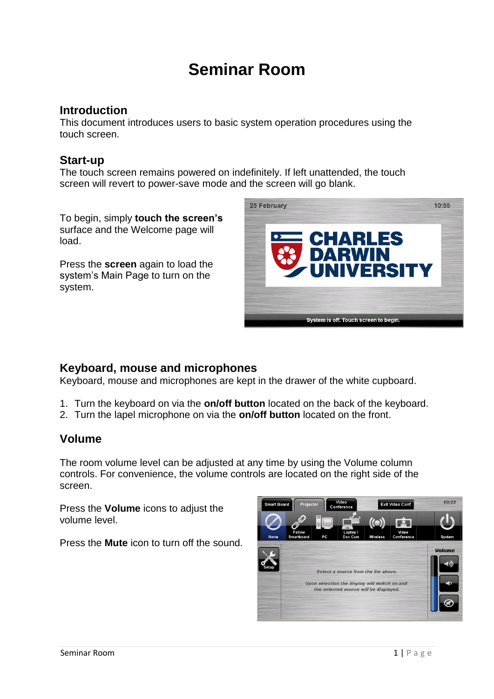# **Seminar Room**

### **Introduction**

This document introduces users to basic system operation procedures using the touch screen.

## **Start-up**

The touch screen remains powered on indefinitely. If left unattended, the touch screen will revert to power-save mode and the screen will go blank.

To begin, simply **touch the screen's** surface and the Welcome page will load.

Press the **screen** again to load the system's Main Page to turn on the system.



## **Keyboard, mouse and microphones**

Keyboard, mouse and microphones are kept in the drawer of the white cupboard.

- 1. Turn the keyboard on via the **on/off button** located on the back of the keyboard.
- 2. Turn the lapel microphone on via the **on/off button** located on the front.

### **Volume**

The room volume level can be adjusted at any time by using the Volume column controls. For convenience, the volume controls are located on the right side of the screen.

Press the **Volume** icons to adjust the volume level.

Press the **Mute** icon to turn off the sound.

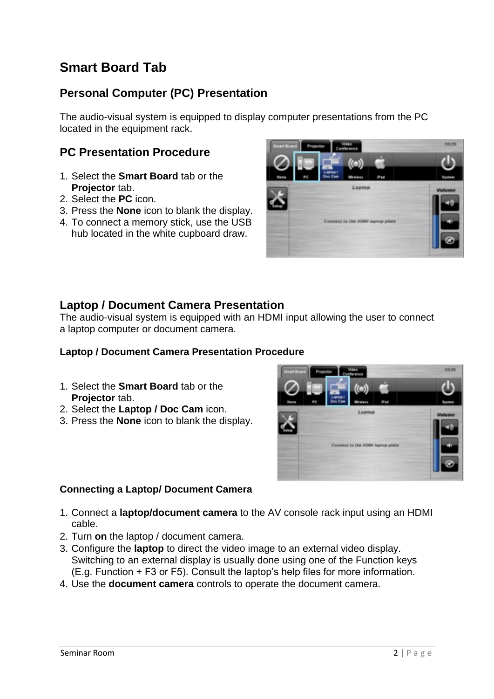## **Smart Board Tab**

## **Personal Computer (PC) Presentation**

The audio-visual system is equipped to display computer presentations from the PC located in the equipment rack.

## **PC Presentation Procedure**

- 1. Select the **Smart Board** tab or the **Projector** tab.
- 2. Select the **PC** icon.
- 3. Press the **None** icon to blank the display.
- 4. To connect a memory stick, use the USB hub located in the white cupboard draw.



## **Laptop / Document Camera Presentation**

The audio-visual system is equipped with an HDMI input allowing the user to connect a laptop computer or document camera.

#### **Laptop / Document Camera Presentation Procedure**

- 1. Select the **Smart Board** tab or the **Projector** tab.
- 2. Select the **Laptop / Doc Cam** icon.
- 3. Press the **None** icon to blank the display.



#### **Connecting a Laptop/ Document Camera**

- 1. Connect a **laptop/document camera** to the AV console rack input using an HDMI cable.
- 2. Turn **on** the laptop / document camera.
- 3. Configure the **laptop** to direct the video image to an external video display. Switching to an external display is usually done using one of the Function keys (E.g. Function + F3 or F5). Consult the laptop's help files for more information.
- 4. Use the **document camera** controls to operate the document camera.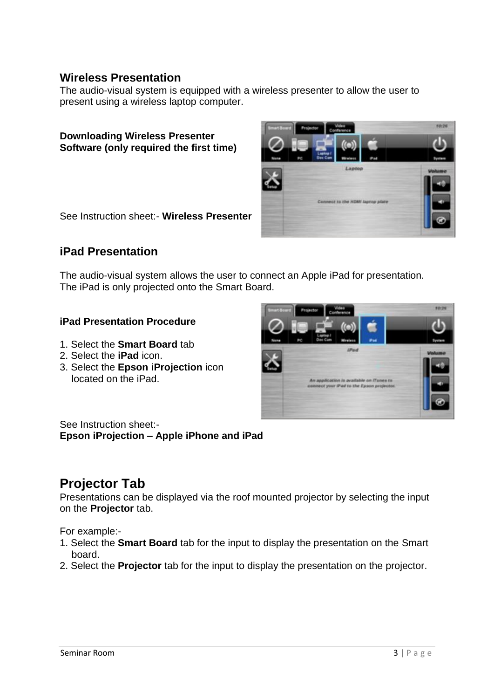#### **Wireless Presentation**

The audio-visual system is equipped with a wireless presenter to allow the user to present using a wireless laptop computer.

**Downloading Wireless Presenter Software (only required the first time)** 

See Instruction sheet:- **Wireless Presenter**

## **iPad Presentation**

The audio-visual system allows the user to connect an Apple iPad for presentation. The iPad is only projected onto the Smart Board.

#### **iPad Presentation Procedure**

- 1. Select the **Smart Board** tab
- 2. Select the **iPad** icon.
- 3. Select the **Epson iProjection** icon located on the iPad.



See Instruction sheet:- **Epson iProjection – Apple iPhone and iPad**

## **Projector Tab**

Presentations can be displayed via the roof mounted projector by selecting the input on the **Projector** tab.

For example:-

- 1. Select the **Smart Board** tab for the input to display the presentation on the Smart board.
- 2. Select the **Projector** tab for the input to display the presentation on the projector.